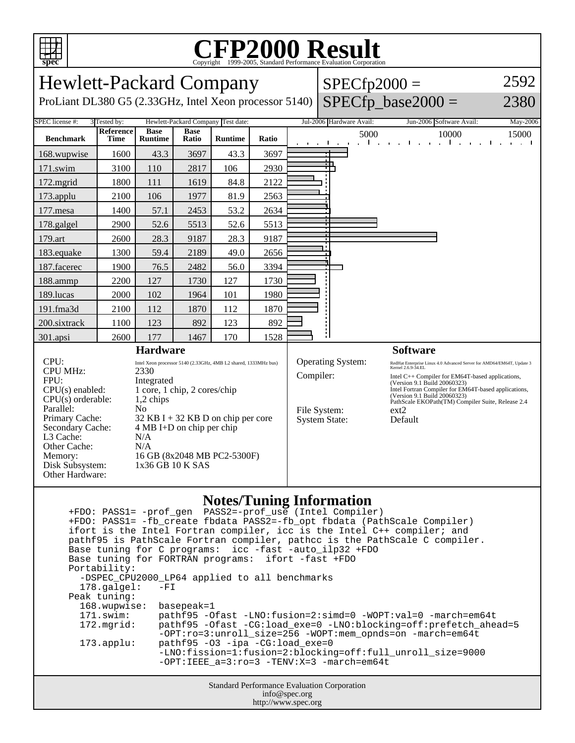

## **CFP2000 Result** Copyright ©1999-2005, Standard Performance Evaluation Corporation

| <b>Hewlett-Packard Company</b>                                                                                                                                                                                                                                                                                                                                                                                                                                                                                                  |                          |                               |                      |                |       |                                                                                                                                                                                                                                                                                                                                                                                                                                                     |                          | $SPECfp2000 =$ |                          |                     |  |
|---------------------------------------------------------------------------------------------------------------------------------------------------------------------------------------------------------------------------------------------------------------------------------------------------------------------------------------------------------------------------------------------------------------------------------------------------------------------------------------------------------------------------------|--------------------------|-------------------------------|----------------------|----------------|-------|-----------------------------------------------------------------------------------------------------------------------------------------------------------------------------------------------------------------------------------------------------------------------------------------------------------------------------------------------------------------------------------------------------------------------------------------------------|--------------------------|----------------|--------------------------|---------------------|--|
| $SPECfp\_base2000 =$<br>2380<br>ProLiant DL380 G5 (2.33GHz, Intel Xeon processor 5140)                                                                                                                                                                                                                                                                                                                                                                                                                                          |                          |                               |                      |                |       |                                                                                                                                                                                                                                                                                                                                                                                                                                                     |                          |                |                          |                     |  |
| SPEC license #:<br>Hewlett-Packard Company Test date:<br>3 Tested by:                                                                                                                                                                                                                                                                                                                                                                                                                                                           |                          |                               |                      |                |       |                                                                                                                                                                                                                                                                                                                                                                                                                                                     | Jul-2006 Hardware Avail: |                | Jun-2006 Software Avail: | May-2006            |  |
| <b>Benchmark</b>                                                                                                                                                                                                                                                                                                                                                                                                                                                                                                                | Reference<br><b>Time</b> | <b>Base</b><br><b>Runtime</b> | <b>Base</b><br>Ratio | <b>Runtime</b> | Ratio |                                                                                                                                                                                                                                                                                                                                                                                                                                                     | and the com-             | 5000           | 10000<br>$\sim$ 1.1      | 15000<br>and a fill |  |
| 168.wupwise                                                                                                                                                                                                                                                                                                                                                                                                                                                                                                                     | 1600                     | 43.3                          | 3697                 | 43.3           | 3697  |                                                                                                                                                                                                                                                                                                                                                                                                                                                     |                          |                |                          |                     |  |
| 171.swim                                                                                                                                                                                                                                                                                                                                                                                                                                                                                                                        | 3100                     | 110                           | 2817                 | 106            | 2930  |                                                                                                                                                                                                                                                                                                                                                                                                                                                     |                          |                |                          |                     |  |
| 172.mgrid                                                                                                                                                                                                                                                                                                                                                                                                                                                                                                                       | 1800                     | 111                           | 1619                 | 84.8           | 2122  |                                                                                                                                                                                                                                                                                                                                                                                                                                                     |                          |                |                          |                     |  |
| 173.applu                                                                                                                                                                                                                                                                                                                                                                                                                                                                                                                       | 2100                     | 106                           | 1977                 | 81.9           | 2563  |                                                                                                                                                                                                                                                                                                                                                                                                                                                     |                          |                |                          |                     |  |
| 177.mesa                                                                                                                                                                                                                                                                                                                                                                                                                                                                                                                        | 1400                     | 57.1                          | 2453                 | 53.2           | 2634  |                                                                                                                                                                                                                                                                                                                                                                                                                                                     |                          |                |                          |                     |  |
| 178.galgel                                                                                                                                                                                                                                                                                                                                                                                                                                                                                                                      | 2900                     | 52.6                          | 5513                 | 52.6           | 5513  |                                                                                                                                                                                                                                                                                                                                                                                                                                                     |                          |                |                          |                     |  |
| 179.art                                                                                                                                                                                                                                                                                                                                                                                                                                                                                                                         | 2600                     | 28.3                          | 9187                 | 28.3           | 9187  |                                                                                                                                                                                                                                                                                                                                                                                                                                                     |                          |                |                          |                     |  |
| 183.equake                                                                                                                                                                                                                                                                                                                                                                                                                                                                                                                      | 1300                     | 59.4                          | 2189                 | 49.0           | 2656  |                                                                                                                                                                                                                                                                                                                                                                                                                                                     |                          |                |                          |                     |  |
| 187.facerec                                                                                                                                                                                                                                                                                                                                                                                                                                                                                                                     | 1900                     | 76.5                          | 2482                 | 56.0           | 3394  |                                                                                                                                                                                                                                                                                                                                                                                                                                                     |                          |                |                          |                     |  |
| 188.ammp                                                                                                                                                                                                                                                                                                                                                                                                                                                                                                                        | 2200                     | 127                           | 1730                 | 127            | 1730  |                                                                                                                                                                                                                                                                                                                                                                                                                                                     |                          |                |                          |                     |  |
| 189.lucas                                                                                                                                                                                                                                                                                                                                                                                                                                                                                                                       | 2000                     | 102                           | 1964                 | 101            | 1980  |                                                                                                                                                                                                                                                                                                                                                                                                                                                     |                          |                |                          |                     |  |
| 191.fma3d                                                                                                                                                                                                                                                                                                                                                                                                                                                                                                                       | 2100                     | 112                           | 1870                 | 112            | 1870  |                                                                                                                                                                                                                                                                                                                                                                                                                                                     |                          |                |                          |                     |  |
| 200.sixtrack                                                                                                                                                                                                                                                                                                                                                                                                                                                                                                                    | 1100                     | 123                           | 892                  | 123            | 892   |                                                                                                                                                                                                                                                                                                                                                                                                                                                     |                          |                |                          |                     |  |
| 301.apsi                                                                                                                                                                                                                                                                                                                                                                                                                                                                                                                        | 2600                     | 177                           | 1467                 | 170            | 1528  |                                                                                                                                                                                                                                                                                                                                                                                                                                                     |                          |                |                          |                     |  |
| <b>Hardware</b><br>CPU:<br>Intel Xeon processor 5140 (2.33GHz, 4MB L2 shared, 1333MHz bus)<br><b>CPU MHz:</b><br>2330<br>FPU:<br>Integrated<br>1 core, 1 chip, 2 cores/chip<br>$CPU(s)$ enabled:<br>$CPU(s)$ orderable:<br>1,2 chips<br>Parallel:<br>N <sub>0</sub><br>Primary Cache:<br>$32$ KB I + 32 KB D on chip per core<br>$4 MB I+D$ on chip per chip<br>Secondary Cache:<br>L3 Cache:<br>N/A<br>Other Cache:<br>N/A<br>Memory:<br>16 GB (8x2048 MB PC2-5300F)<br>1x36 GB 10 K SAS<br>Disk Subsystem:<br>Other Hardware: |                          |                               |                      |                |       | <b>Software</b><br><b>Operating System:</b><br>RedHat Enterprise Linux 4.0 Advanced Server for AMD64/EM64T, Update 3<br>Kernel 2.6.9-34.EL<br>Compiler:<br>Intel C++ Compiler for EM64T-based applications,<br>(Version 9.1 Build 20060323)<br>Intel Fortran Compiler for EM64T-based applications,<br>(Version 9.1 Build 20060323)<br>PathScale EKOPath(TM) Compiler Suite, Release 2.4<br>File System:<br>ext2<br><b>System State:</b><br>Default |                          |                |                          |                     |  |
|                                                                                                                                                                                                                                                                                                                                                                                                                                                                                                                                 |                          |                               |                      |                |       |                                                                                                                                                                                                                                                                                                                                                                                                                                                     |                          |                |                          |                     |  |

## **Notes/Tuning Information**

Standard Performance Evaluation Corporation info@spec.org +FDO: PASS1= -prof\_gen PASS2=-prof\_use (Intel Compiler) +FDO: PASS1= -fb\_create fbdata PASS2=-fb\_opt fbdata (PathScale Compiler) ifort is the Intel Fortran compiler, icc is the Intel C++ compiler; and pathf95 is PathScale Fortran compiler, pathcc is the PathScale C compiler. Base tuning for C programs: icc -fast -auto\_ilp32 +FDO Base tuning for FORTRAN programs: ifort -fast +FDO Portability: -DSPEC\_CPU2000\_LP64 applied to all benchmarks<br>178.galgel: -FI  $178.galgel:$  Peak tuning: 168.wupwise: basepeak=1 171.swim: pathf95 -Ofast -LNO:fusion=2:simd=0 -WOPT:val=0 -march=em64t 172.mgrid: pathf95 -Ofast -CG:load\_exe=0 -LNO:blocking=off:prefetch\_ahead=5 -OPT:ro=3:unroll\_size=256 -WOPT:mem\_opnds=on -march=em64t 173.applu: pathf95 -O3 -ipa -CG:load\_exe=0 -LNO:fission=1:fusion=2:blocking=off:full\_unroll\_size=9000 -OPT:IEEE\_a=3:ro=3 -TENV:X=3 -march=em64t

http://www.spec.org